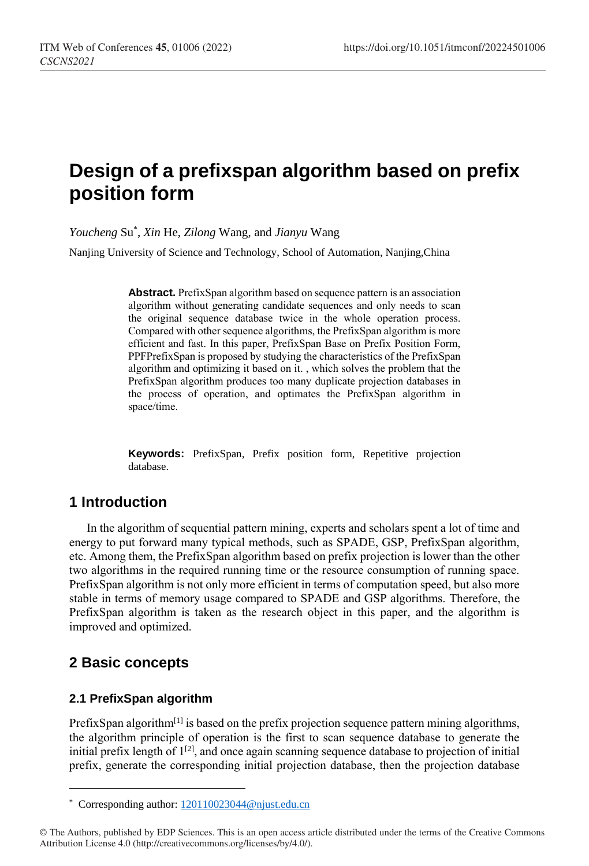# **Design of a prefixspan algorithm based on prefix position form**

*Youcheng* Su\* , *Xin* He, *Zilong* Wang, and *Jianyu* Wang

Nanjing University of Science and Technology, School of Automation, Nanjing,China

**Abstract.** PrefixSpan algorithm based on sequence pattern is an association algorithm without generating candidate sequences and only needs to scan the original sequence database twice in the whole operation process. Compared with other sequence algorithms, the PrefixSpan algorithm is more efficient and fast. In this paper, PrefixSpan Base on Prefix Position Form, PPFPrefixSpan is proposed by studying the characteristics of the PrefixSpan algorithm and optimizing it based on it. , which solves the problem that the PrefixSpan algorithm produces too many duplicate projection databases in the process of operation, and optimates the PrefixSpan algorithm in space/time.

**Keywords:** PrefixSpan, Prefix position form, Repetitive projection database.

# **1 Introduction**

In the algorithm of sequential pattern mining, experts and scholars spent a lot of time and energy to put forward many typical methods, such as SPADE, GSP, PrefixSpan algorithm, etc. Among them, the PrefixSpan algorithm based on prefix projection is lower than the other two algorithms in the required running time or the resource consumption of running space. PrefixSpan algorithm is not only more efficient in terms of computation speed, but also more stable in terms of memory usage compared to SPADE and GSP algorithms. Therefore, the PrefixSpan algorithm is taken as the research object in this paper, and the algorithm is improved and optimized.

# **2 Basic concepts**

 $\overline{a}$ 

### **2.1 PrefixSpan algorithm**

PrefixSpan algorithm<sup>[1]</sup> is based on the prefix projection sequence pattern mining algorithms, the algorithm principle of operation is the first to scan sequence database to generate the initial prefix length of  $1^{[2]}$ , and once again scanning sequence database to projection of initial prefix, generate the corresponding initial projection database, then the projection database

<sup>\*</sup> Corresponding author[: 120110023044@njust.edu.cn](mailto:120110023044@njust.edu.cn)

<sup>©</sup> The Authors, published by EDP Sciences. This is an open access article distributed under the terms of the Creative Commons Attribution License 4.0 (http://creativecommons.org/licenses/by/4.0/).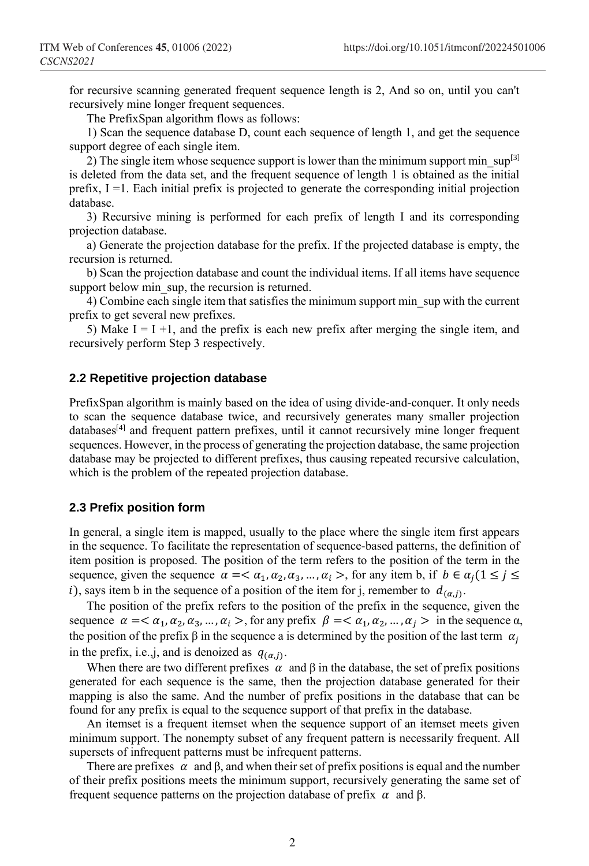for recursive scanning generated frequent sequence length is 2, And so on, until you can't recursively mine longer frequent sequences.

The PrefixSpan algorithm flows as follows:

1) Scan the sequence database D, count each sequence of length 1, and get the sequence support degree of each single item.

2) The single item whose sequence support is lower than the minimum support min  $\sup[3]$ is deleted from the data set, and the frequent sequence of length 1 is obtained as the initial prefix, I =1. Each initial prefix is projected to generate the corresponding initial projection database.

3) Recursive mining is performed for each prefix of length I and its corresponding projection database.

a) Generate the projection database for the prefix. If the projected database is empty, the recursion is returned.

b) Scan the projection database and count the individual items. If all items have sequence support below min sup, the recursion is returned.

4) Combine each single item that satisfies the minimum support min\_sup with the current prefix to get several new prefixes.

5) Make  $I = I +1$ , and the prefix is each new prefix after merging the single item, and recursively perform Step 3 respectively.

#### **2.2 Repetitive projection database**

PrefixSpan algorithm is mainly based on the idea of using divide-and-conquer. It only needs to scan the sequence database twice, and recursively generates many smaller projection databases<sup>[4]</sup> and frequent pattern prefixes, until it cannot recursively mine longer frequent sequences. However, in the process of generating the projection database, the same projection database may be projected to different prefixes, thus causing repeated recursive calculation, which is the problem of the repeated projection database.

#### **2.3 Prefix position form**

In general, a single item is mapped, usually to the place where the single item first appears in the sequence. To facilitate the representation of sequence-based patterns, the definition of item position is proposed. The position of the term refers to the position of the term in the sequence, given the sequence  $\alpha = \langle \alpha_1, \alpha_2, \alpha_3, ..., \alpha_i \rangle$ , for any item b, if  $b \in \alpha_j (1 \leq j \leq j)$ i), says item b in the sequence of a position of the item for j, remember to  $d_{(\alpha,j)}$ .

The position of the prefix refers to the position of the prefix in the sequence, given the sequence  $\alpha = \langle \alpha_1, \alpha_2, \alpha_3, \dots, \alpha_i \rangle$ , for any prefix  $\beta = \langle \alpha_1, \alpha_2, \dots, \alpha_j \rangle$  in the sequence  $\alpha$ , the position of the prefix  $\beta$  in the sequence a is determined by the position of the last term  $\alpha_i$ in the prefix, i.e., j, and is denoized as  $q_{(\alpha,j)}$ .

When there are two different prefixes  $\alpha$  and  $\beta$  in the database, the set of prefix positions generated for each sequence is the same, then the projection database generated for their mapping is also the same. And the number of prefix positions in the database that can be found for any prefix is equal to the sequence support of that prefix in the database.

An itemset is a frequent itemset when the sequence support of an itemset meets given minimum support. The nonempty subset of any frequent pattern is necessarily frequent. All supersets of infrequent patterns must be infrequent patterns.

There are prefixes  $\alpha$  and  $\beta$ , and when their set of prefix positions is equal and the number of their prefix positions meets the minimum support, recursively generating the same set of frequent sequence patterns on the projection database of prefix  $\alpha$  and β.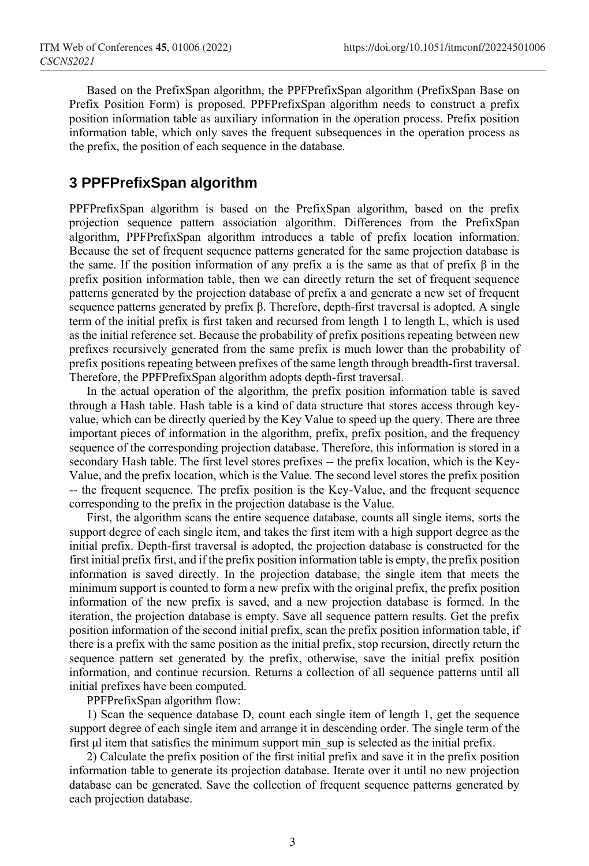Based on the PrefixSpan algorithm, the PPFPrefixSpan algorithm (PrefixSpan Base on Prefix Position Form) is proposed. PPFPrefixSpan algorithm needs to construct a prefix position information table as auxiliary information in the operation process. Prefix position information table, which only saves the frequent subsequences in the operation process as the prefix, the position of each sequence in the database.

### **3 PPFPrefixSpan algorithm**

PPFPrefixSpan algorithm is based on the PrefixSpan algorithm, based on the prefix projection sequence pattern association algorithm. Differences from the PrefixSpan algorithm, PPFPrefixSpan algorithm introduces a table of prefix location information. Because the set of frequent sequence patterns generated for the same projection database is the same. If the position information of any prefix a is the same as that of prefix  $\beta$  in the prefix position information table, then we can directly return the set of frequent sequence patterns generated by the projection database of prefix a and generate a new set of frequent sequence patterns generated by prefix β. Therefore, depth-first traversal is adopted. A single term of the initial prefix is first taken and recursed from length 1 to length L, which is used as the initial reference set. Because the probability of prefix positions repeating between new prefixes recursively generated from the same prefix is much lower than the probability of prefix positions repeating between prefixes of the same length through breadth-first traversal. Therefore, the PPFPrefixSpan algorithm adopts depth-first traversal.

In the actual operation of the algorithm, the prefix position information table is saved through a Hash table. Hash table is a kind of data structure that stores access through keyvalue, which can be directly queried by the Key Value to speed up the query. There are three important pieces of information in the algorithm, prefix, prefix position, and the frequency sequence of the corresponding projection database. Therefore, this information is stored in a secondary Hash table. The first level stores prefixes -- the prefix location, which is the Key-Value, and the prefix location, which is the Value. The second level stores the prefix position -- the frequent sequence. The prefix position is the Key-Value, and the frequent sequence corresponding to the prefix in the projection database is the Value.

First, the algorithm scans the entire sequence database, counts all single items, sorts the support degree of each single item, and takes the first item with a high support degree as the initial prefix. Depth-first traversal is adopted, the projection database is constructed for the first initial prefix first, and if the prefix position information table is empty, the prefix position information is saved directly. In the projection database, the single item that meets the minimum support is counted to form a new prefix with the original prefix, the prefix position information of the new prefix is saved, and a new projection database is formed. In the iteration, the projection database is empty. Save all sequence pattern results. Get the prefix position information of the second initial prefix, scan the prefix position information table, if there is a prefix with the same position as the initial prefix, stop recursion, directly return the sequence pattern set generated by the prefix, otherwise, save the initial prefix position information, and continue recursion. Returns a collection of all sequence patterns until all initial prefixes have been computed.

PPFPrefixSpan algorithm flow:

1) Scan the sequence database D, count each single item of length 1, get the sequence support degree of each single item and arrange it in descending order. The single term of the first μl item that satisfies the minimum support min\_sup is selected as the initial prefix.

2) Calculate the prefix position of the first initial prefix and save it in the prefix position information table to generate its projection database. Iterate over it until no new projection database can be generated. Save the collection of frequent sequence patterns generated by each projection database.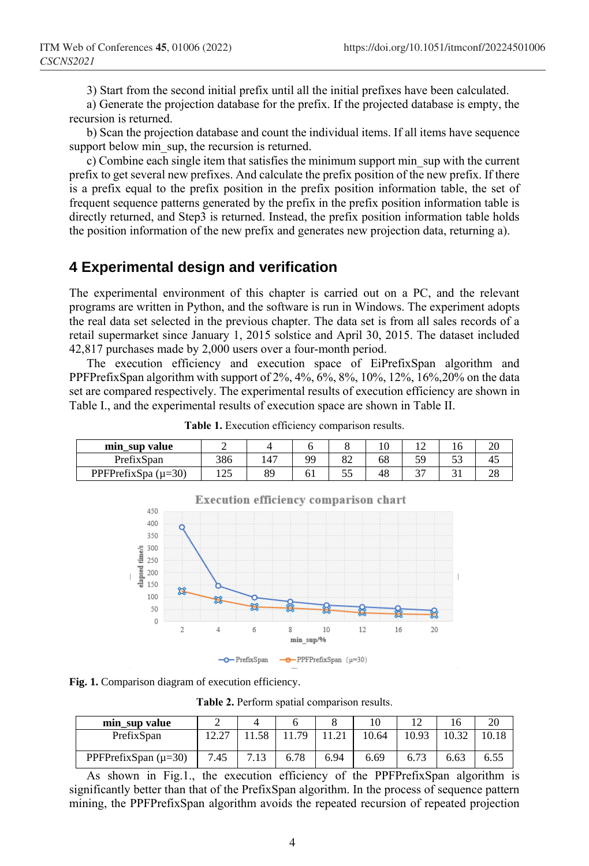3) Start from the second initial prefix until all the initial prefixes have been calculated.

a) Generate the projection database for the prefix. If the projected database is empty, the recursion is returned.

b) Scan the projection database and count the individual items. If all items have sequence support below min sup, the recursion is returned.

c) Combine each single item that satisfies the minimum support min\_sup with the current prefix to get several new prefixes. And calculate the prefix position of the new prefix. If there is a prefix equal to the prefix position in the prefix position information table, the set of frequent sequence patterns generated by the prefix in the prefix position information table is directly returned, and Step3 is returned. Instead, the prefix position information table holds the position information of the new prefix and generates new projection data, returning a).

### **4 Experimental design and verification**

The experimental environment of this chapter is carried out on a PC, and the relevant programs are written in Python, and the software is run in Windows. The experiment adopts the real data set selected in the previous chapter. The data set is from all sales records of a retail supermarket since January 1, 2015 solstice and April 30, 2015. The dataset included 42,817 purchases made by 2,000 users over a four-month period.

The execution efficiency and execution space of EiPrefixSpan algorithm and PPFPrefixSpan algorithm with support of  $2\%$ ,  $4\%$ ,  $6\%$ ,  $8\%$ ,  $10\%$ ,  $12\%$ ,  $16\%$ ,  $20\%$  on the data set are compared respectively. The experimental results of execution efficiency are shown in Table I., and the experimental results of execution space are shown in Table II.

| sup value<br>mın        |     |    |    |    | ⊥ ∪ |         | . U | oc<br>∠∪ |
|-------------------------|-----|----|----|----|-----|---------|-----|----------|
| PrefixSpan              | 386 |    | 99 | 82 | 68  | ۲Ο<br>ັ | ັບ  | 45       |
| PPFPrefixSpa $(\mu=30)$ |     | QΟ | UΙ | ິ  | 48  |         |     | no<br>∠o |

**Table 1.** Execution efficiency comparison results.



**Fig. 1.** Comparison diagram of execution efficiency.

**Table 2.** Perform spatial comparison results.

| min sup value            |      |     |      |      |       |       |      |       |
|--------------------------|------|-----|------|------|-------|-------|------|-------|
| PrefixSpan               |      | .58 | 79   |      | 10.64 | 10.93 |      | 10.18 |
| PPFPrefixSpan $(\mu=30)$ | 7.45 |     | 6.78 | 6.94 | 6.69  | 6.73  | 6.63 |       |

As shown in Fig.1., the execution efficiency of the PPFPrefixSpan algorithm is significantly better than that of the PrefixSpan algorithm. In the process of sequence pattern mining, the PPFPrefixSpan algorithm avoids the repeated recursion of repeated projection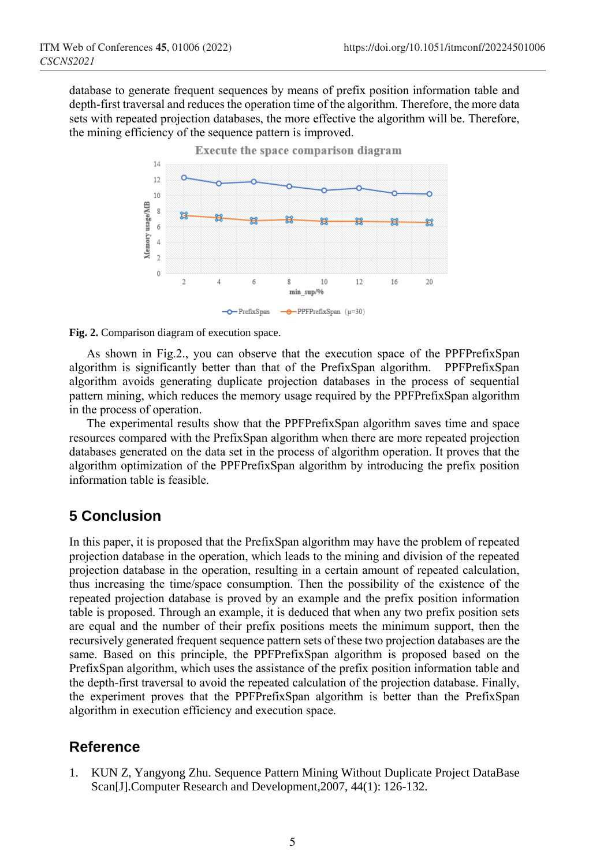database to generate frequent sequences by means of prefix position information table and depth-first traversal and reduces the operation time of the algorithm. Therefore, the more data sets with repeated projection databases, the more effective the algorithm will be. Therefore, the mining efficiency of the sequence pattern is improved.



**Fig. 2.** Comparison diagram of execution space.

As shown in Fig.2., you can observe that the execution space of the PPFPrefixSpan algorithm is significantly better than that of the PrefixSpan algorithm. PPFPrefixSpan algorithm avoids generating duplicate projection databases in the process of sequential pattern mining, which reduces the memory usage required by the PPFPrefixSpan algorithm in the process of operation.

The experimental results show that the PPFPrefixSpan algorithm saves time and space resources compared with the PrefixSpan algorithm when there are more repeated projection databases generated on the data set in the process of algorithm operation. It proves that the algorithm optimization of the PPFPrefixSpan algorithm by introducing the prefix position information table is feasible.

# **5 Conclusion**

In this paper, it is proposed that the PrefixSpan algorithm may have the problem of repeated projection database in the operation, which leads to the mining and division of the repeated projection database in the operation, resulting in a certain amount of repeated calculation, thus increasing the time/space consumption. Then the possibility of the existence of the repeated projection database is proved by an example and the prefix position information table is proposed. Through an example, it is deduced that when any two prefix position sets are equal and the number of their prefix positions meets the minimum support, then the recursively generated frequent sequence pattern sets of these two projection databases are the same. Based on this principle, the PPFPrefixSpan algorithm is proposed based on the PrefixSpan algorithm, which uses the assistance of the prefix position information table and the depth-first traversal to avoid the repeated calculation of the projection database. Finally, the experiment proves that the PPFPrefixSpan algorithm is better than the PrefixSpan algorithm in execution efficiency and execution space.

# **Reference**

1. KUN Z, Yangyong Zhu. Sequence Pattern Mining Without Duplicate Project DataBase Scan[J].Computer Research and Development,2007, 44(1): 126-132.